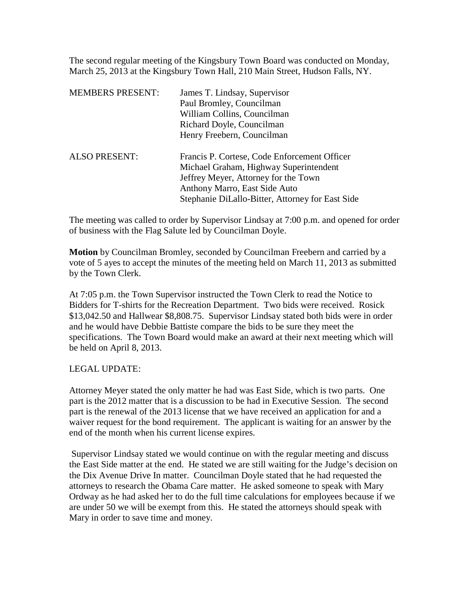The second regular meeting of the Kingsbury Town Board was conducted on Monday, March 25, 2013 at the Kingsbury Town Hall, 210 Main Street, Hudson Falls, NY.

| <b>MEMBERS PRESENT:</b> | James T. Lindsay, Supervisor<br>Paul Bromley, Councilman<br>William Collins, Councilman<br>Richard Doyle, Councilman<br>Henry Freebern, Councilman                                                                  |
|-------------------------|---------------------------------------------------------------------------------------------------------------------------------------------------------------------------------------------------------------------|
| <b>ALSO PRESENT:</b>    | Francis P. Cortese, Code Enforcement Officer<br>Michael Graham, Highway Superintendent<br>Jeffrey Meyer, Attorney for the Town<br>Anthony Marro, East Side Auto<br>Stephanie DiLallo-Bitter, Attorney for East Side |

The meeting was called to order by Supervisor Lindsay at 7:00 p.m. and opened for order of business with the Flag Salute led by Councilman Doyle.

**Motion** by Councilman Bromley, seconded by Councilman Freebern and carried by a vote of 5 ayes to accept the minutes of the meeting held on March 11, 2013 as submitted by the Town Clerk.

At 7:05 p.m. the Town Supervisor instructed the Town Clerk to read the Notice to Bidders for T-shirts for the Recreation Department. Two bids were received. Rosick \$13,042.50 and Hallwear \$8,808.75. Supervisor Lindsay stated both bids were in order and he would have Debbie Battiste compare the bids to be sure they meet the specifications. The Town Board would make an award at their next meeting which will be held on April 8, 2013.

# LEGAL UPDATE:

Attorney Meyer stated the only matter he had was East Side, which is two parts. One part is the 2012 matter that is a discussion to be had in Executive Session. The second part is the renewal of the 2013 license that we have received an application for and a waiver request for the bond requirement. The applicant is waiting for an answer by the end of the month when his current license expires.

Supervisor Lindsay stated we would continue on with the regular meeting and discuss the East Side matter at the end. He stated we are still waiting for the Judge's decision on the Dix Avenue Drive In matter. Councilman Doyle stated that he had requested the attorneys to research the Obama Care matter. He asked someone to speak with Mary Ordway as he had asked her to do the full time calculations for employees because if we are under 50 we will be exempt from this. He stated the attorneys should speak with Mary in order to save time and money.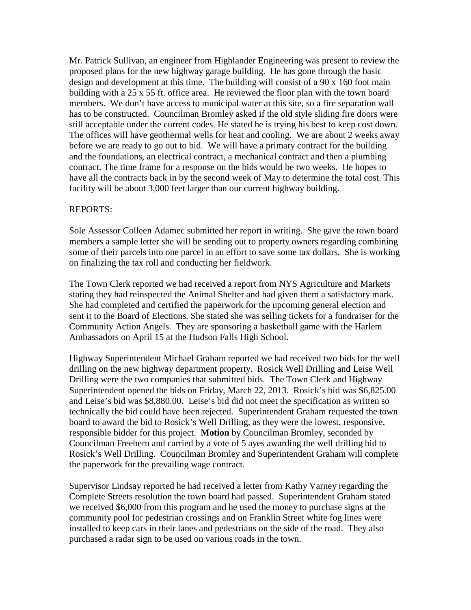Mr. Patrick Sullivan, an engineer from Highlander Engineering was present to review the proposed plans for the new highway garage building. He has gone through the basic design and development at this time. The building will consist of a 90 x 160 foot main building with a 25 x 55 ft. office area. He reviewed the floor plan with the town board members. We don't have access to municipal water at this site, so a fire separation wall has to be constructed. Councilman Bromley asked if the old style sliding fire doors were still acceptable under the current codes. He stated he is trying his best to keep cost down. The offices will have geothermal wells for heat and cooling. We are about 2 weeks away before we are ready to go out to bid. We will have a primary contract for the building and the foundations, an electrical contract, a mechanical contract and then a plumbing contract. The time frame for a response on the bids would be two weeks. He hopes to have all the contracts back in by the second week of May to determine the total cost. This facility will be about 3,000 feet larger than our current highway building.

#### REPORTS:

Sole Assessor Colleen Adamec submitted her report in writing. She gave the town board members a sample letter she will be sending out to property owners regarding combining some of their parcels into one parcel in an effort to save some tax dollars. She is working on finalizing the tax roll and conducting her fieldwork.

The Town Clerk reported we had received a report from NYS Agriculture and Markets stating they had reinspected the Animal Shelter and had given them a satisfactory mark. She had completed and certified the paperwork for the upcoming general election and sent it to the Board of Elections. She stated she was selling tickets for a fundraiser for the Community Action Angels. They are sponsoring a basketball game with the Harlem Ambassadors on April 15 at the Hudson Falls High School.

Highway Superintendent Michael Graham reported we had received two bids for the well drilling on the new highway department property. Rosick Well Drilling and Leise Well Drilling were the two companies that submitted bids. The Town Clerk and Highway Superintendent opened the bids on Friday, March 22, 2013. Rosick's bid was \$6,825.00 and Leise's bid was \$8,880.00. Leise's bid did not meet the specification as written so technically the bid could have been rejected. Superintendent Graham requested the town board to award the bid to Rosick's Well Drilling, as they were the lowest, responsive, responsible bidder for this project. **Motion** by Councilman Bromley, seconded by Councilman Freebern and carried by a vote of 5 ayes awarding the well drilling bid to Rosick's Well Drilling. Councilman Bromley and Superintendent Graham will complete the paperwork for the prevailing wage contract.

Supervisor Lindsay reported he had received a letter from Kathy Varney regarding the Complete Streets resolution the town board had passed. Superintendent Graham stated we received \$6,000 from this program and he used the money to purchase signs at the community pool for pedestrian crossings and on Franklin Street white fog lines were installed to keep cars in their lanes and pedestrians on the side of the road. They also purchased a radar sign to be used on various roads in the town.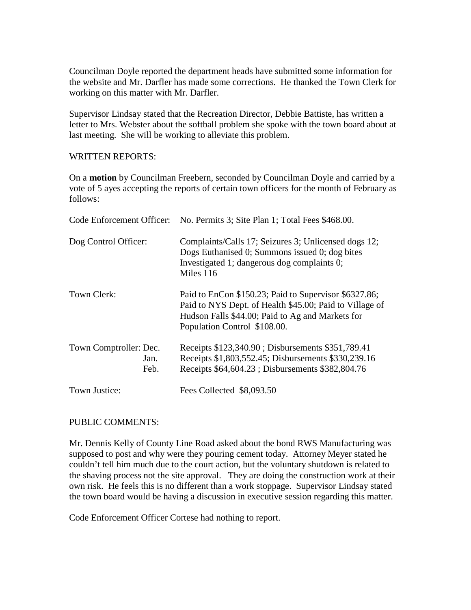Councilman Doyle reported the department heads have submitted some information for the website and Mr. Darfler has made some corrections. He thanked the Town Clerk for working on this matter with Mr. Darfler.

Supervisor Lindsay stated that the Recreation Director, Debbie Battiste, has written a letter to Mrs. Webster about the softball problem she spoke with the town board about at last meeting. She will be working to alleviate this problem.

#### WRITTEN REPORTS:

On a **motion** by Councilman Freebern, seconded by Councilman Doyle and carried by a vote of 5 ayes accepting the reports of certain town officers for the month of February as follows:

|                                        | Code Enforcement Officer: No. Permits 3; Site Plan 1; Total Fees \$468.00.                                                                                                                           |
|----------------------------------------|------------------------------------------------------------------------------------------------------------------------------------------------------------------------------------------------------|
| Dog Control Officer:                   | Complaints/Calls 17; Seizures 3; Unlicensed dogs 12;<br>Dogs Euthanised 0; Summons issued 0; dog bites<br>Investigated 1; dangerous dog complaints 0;<br>Miles 116                                   |
| Town Clerk:                            | Paid to EnCon \$150.23; Paid to Supervisor \$6327.86;<br>Paid to NYS Dept. of Health \$45.00; Paid to Village of<br>Hudson Falls \$44.00; Paid to Ag and Markets for<br>Population Control \$108.00. |
| Town Comptroller: Dec.<br>Jan.<br>Feb. | Receipts \$123,340.90; Disbursements \$351,789.41<br>Receipts \$1,803,552.45; Disbursements \$330,239.16<br>Receipts \$64,604.23; Disbursements \$382,804.76                                         |
| Town Justice:                          | Fees Collected \$8,093.50                                                                                                                                                                            |

## PUBLIC COMMENTS:

Mr. Dennis Kelly of County Line Road asked about the bond RWS Manufacturing was supposed to post and why were they pouring cement today. Attorney Meyer stated he couldn't tell him much due to the court action, but the voluntary shutdown is related to the shaving process not the site approval. They are doing the construction work at their own risk. He feels this is no different than a work stoppage. Supervisor Lindsay stated the town board would be having a discussion in executive session regarding this matter.

Code Enforcement Officer Cortese had nothing to report.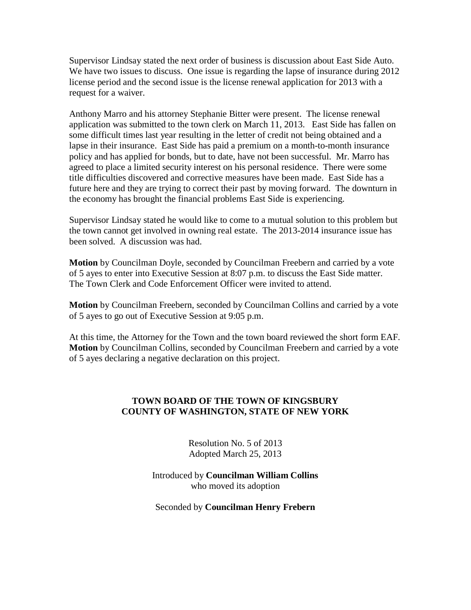Supervisor Lindsay stated the next order of business is discussion about East Side Auto. We have two issues to discuss. One issue is regarding the lapse of insurance during 2012 license period and the second issue is the license renewal application for 2013 with a request for a waiver.

Anthony Marro and his attorney Stephanie Bitter were present. The license renewal application was submitted to the town clerk on March 11, 2013. East Side has fallen on some difficult times last year resulting in the letter of credit not being obtained and a lapse in their insurance. East Side has paid a premium on a month-to-month insurance policy and has applied for bonds, but to date, have not been successful. Mr. Marro has agreed to place a limited security interest on his personal residence. There were some title difficulties discovered and corrective measures have been made. East Side has a future here and they are trying to correct their past by moving forward. The downturn in the economy has brought the financial problems East Side is experiencing.

Supervisor Lindsay stated he would like to come to a mutual solution to this problem but the town cannot get involved in owning real estate. The 2013-2014 insurance issue has been solved. A discussion was had.

**Motion** by Councilman Doyle, seconded by Councilman Freebern and carried by a vote of 5 ayes to enter into Executive Session at 8:07 p.m. to discuss the East Side matter. The Town Clerk and Code Enforcement Officer were invited to attend.

**Motion** by Councilman Freebern, seconded by Councilman Collins and carried by a vote of 5 ayes to go out of Executive Session at 9:05 p.m.

At this time, the Attorney for the Town and the town board reviewed the short form EAF. **Motion** by Councilman Collins, seconded by Councilman Freebern and carried by a vote of 5 ayes declaring a negative declaration on this project.

# **TOWN BOARD OF THE TOWN OF KINGSBURY COUNTY OF WASHINGTON, STATE OF NEW YORK**

Resolution No. 5 of 2013 Adopted March 25, 2013

Introduced by **Councilman William Collins** who moved its adoption

Seconded by **Councilman Henry Frebern**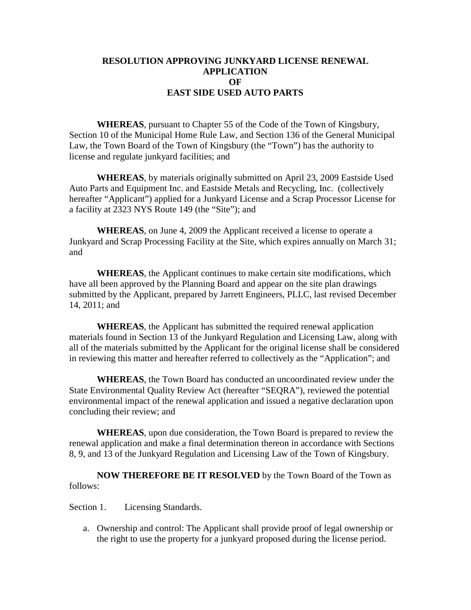# **RESOLUTION APPROVING JUNKYARD LICENSE RENEWAL APPLICATION OF EAST SIDE USED AUTO PARTS**

**WHEREAS**, pursuant to Chapter 55 of the Code of the Town of Kingsbury, Section 10 of the Municipal Home Rule Law, and Section 136 of the General Municipal Law, the Town Board of the Town of Kingsbury (the "Town") has the authority to license and regulate junkyard facilities; and

**WHEREAS**, by materials originally submitted on April 23, 2009 Eastside Used Auto Parts and Equipment Inc. and Eastside Metals and Recycling, Inc. (collectively hereafter "Applicant") applied for a Junkyard License and a Scrap Processor License for a facility at 2323 NYS Route 149 (the "Site"); and

**WHEREAS**, on June 4, 2009 the Applicant received a license to operate a Junkyard and Scrap Processing Facility at the Site, which expires annually on March 31; and

**WHEREAS**, the Applicant continues to make certain site modifications, which have all been approved by the Planning Board and appear on the site plan drawings submitted by the Applicant, prepared by Jarrett Engineers, PLLC, last revised December 14, 2011; and

**WHEREAS**, the Applicant has submitted the required renewal application materials found in Section 13 of the Junkyard Regulation and Licensing Law, along with all of the materials submitted by the Applicant for the original license shall be considered in reviewing this matter and hereafter referred to collectively as the "Application"; and

**WHEREAS**, the Town Board has conducted an uncoordinated review under the State Environmental Quality Review Act (hereafter "SEQRA"), reviewed the potential environmental impact of the renewal application and issued a negative declaration upon concluding their review; and

**WHEREAS**, upon due consideration, the Town Board is prepared to review the renewal application and make a final determination thereon in accordance with Sections 8, 9, and 13 of the Junkyard Regulation and Licensing Law of the Town of Kingsbury.

**NOW THEREFORE BE IT RESOLVED** by the Town Board of the Town as follows:

Section 1. Licensing Standards.

a. Ownership and control: The Applicant shall provide proof of legal ownership or the right to use the property for a junkyard proposed during the license period.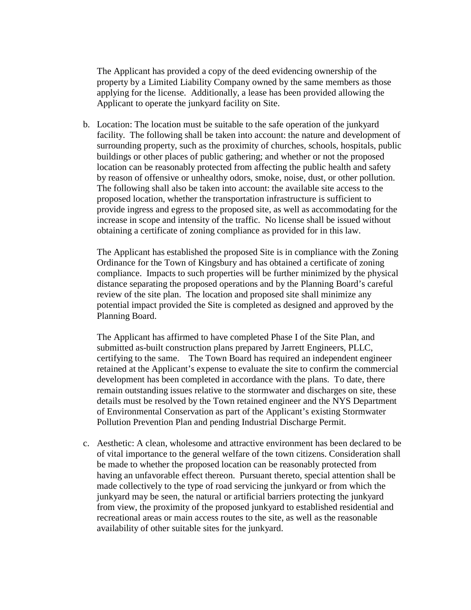The Applicant has provided a copy of the deed evidencing ownership of the property by a Limited Liability Company owned by the same members as those applying for the license. Additionally, a lease has been provided allowing the Applicant to operate the junkyard facility on Site.

b. Location: The location must be suitable to the safe operation of the junkyard facility. The following shall be taken into account: the nature and development of surrounding property, such as the proximity of churches, schools, hospitals, public buildings or other places of public gathering; and whether or not the proposed location can be reasonably protected from affecting the public health and safety by reason of offensive or unhealthy odors, smoke, noise, dust, or other pollution. The following shall also be taken into account: the available site access to the proposed location, whether the transportation infrastructure is sufficient to provide ingress and egress to the proposed site, as well as accommodating for the increase in scope and intensity of the traffic. No license shall be issued without obtaining a certificate of zoning compliance as provided for in this law.

The Applicant has established the proposed Site is in compliance with the Zoning Ordinance for the Town of Kingsbury and has obtained a certificate of zoning compliance. Impacts to such properties will be further minimized by the physical distance separating the proposed operations and by the Planning Board's careful review of the site plan. The location and proposed site shall minimize any potential impact provided the Site is completed as designed and approved by the Planning Board.

The Applicant has affirmed to have completed Phase I of the Site Plan, and submitted as-built construction plans prepared by Jarrett Engineers, PLLC, certifying to the same. The Town Board has required an independent engineer retained at the Applicant's expense to evaluate the site to confirm the commercial development has been completed in accordance with the plans. To date, there remain outstanding issues relative to the stormwater and discharges on site, these details must be resolved by the Town retained engineer and the NYS Department of Environmental Conservation as part of the Applicant's existing Stormwater Pollution Prevention Plan and pending Industrial Discharge Permit.

c. Aesthetic: A clean, wholesome and attractive environment has been declared to be of vital importance to the general welfare of the town citizens. Consideration shall be made to whether the proposed location can be reasonably protected from having an unfavorable effect thereon. Pursuant thereto, special attention shall be made collectively to the type of road servicing the junkyard or from which the junkyard may be seen, the natural or artificial barriers protecting the junkyard from view, the proximity of the proposed junkyard to established residential and recreational areas or main access routes to the site, as well as the reasonable availability of other suitable sites for the junkyard.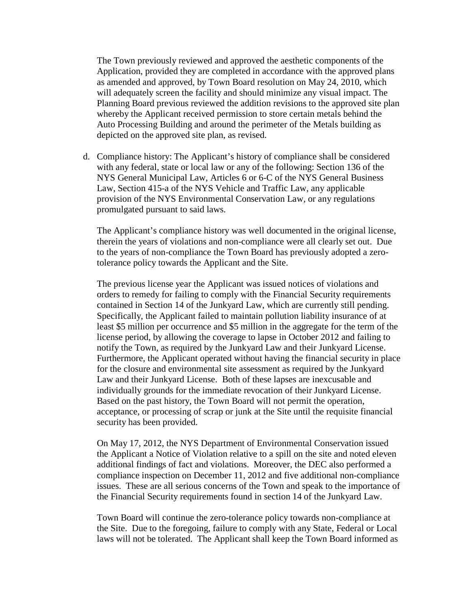The Town previously reviewed and approved the aesthetic components of the Application, provided they are completed in accordance with the approved plans as amended and approved, by Town Board resolution on May 24, 2010, which will adequately screen the facility and should minimize any visual impact. The Planning Board previous reviewed the addition revisions to the approved site plan whereby the Applicant received permission to store certain metals behind the Auto Processing Building and around the perimeter of the Metals building as depicted on the approved site plan, as revised.

d. Compliance history: The Applicant's history of compliance shall be considered with any federal, state or local law or any of the following: Section 136 of the NYS General Municipal Law, Articles 6 or 6-C of the NYS General Business Law, Section 415-a of the NYS Vehicle and Traffic Law, any applicable provision of the NYS Environmental Conservation Law, or any regulations promulgated pursuant to said laws.

The Applicant's compliance history was well documented in the original license, therein the years of violations and non-compliance were all clearly set out. Due to the years of non-compliance the Town Board has previously adopted a zerotolerance policy towards the Applicant and the Site.

The previous license year the Applicant was issued notices of violations and orders to remedy for failing to comply with the Financial Security requirements contained in Section 14 of the Junkyard Law, which are currently still pending. Specifically, the Applicant failed to maintain pollution liability insurance of at least \$5 million per occurrence and \$5 million in the aggregate for the term of the license period, by allowing the coverage to lapse in October 2012 and failing to notify the Town, as required by the Junkyard Law and their Junkyard License. Furthermore, the Applicant operated without having the financial security in place for the closure and environmental site assessment as required by the Junkyard Law and their Junkyard License. Both of these lapses are inexcusable and individually grounds for the immediate revocation of their Junkyard License. Based on the past history, the Town Board will not permit the operation, acceptance, or processing of scrap or junk at the Site until the requisite financial security has been provided.

On May 17, 2012, the NYS Department of Environmental Conservation issued the Applicant a Notice of Violation relative to a spill on the site and noted eleven additional findings of fact and violations. Moreover, the DEC also performed a compliance inspection on December 11, 2012 and five additional non-compliance issues. These are all serious concerns of the Town and speak to the importance of the Financial Security requirements found in section 14 of the Junkyard Law.

Town Board will continue the zero-tolerance policy towards non-compliance at the Site. Due to the foregoing, failure to comply with any State, Federal or Local laws will not be tolerated. The Applicant shall keep the Town Board informed as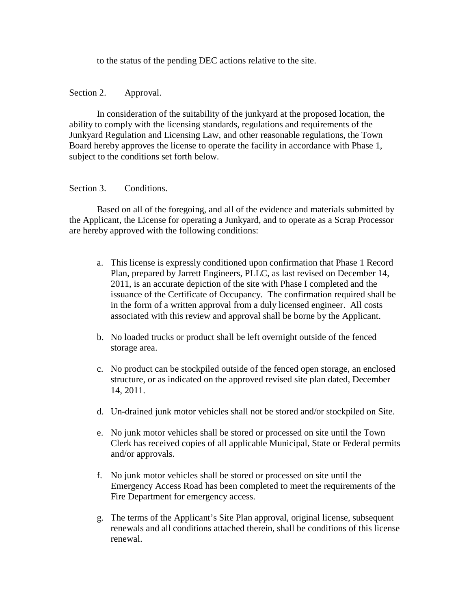to the status of the pending DEC actions relative to the site.

### Section 2. Approval.

In consideration of the suitability of the junkyard at the proposed location, the ability to comply with the licensing standards, regulations and requirements of the Junkyard Regulation and Licensing Law, and other reasonable regulations, the Town Board hereby approves the license to operate the facility in accordance with Phase 1, subject to the conditions set forth below.

## Section 3. Conditions.

Based on all of the foregoing, and all of the evidence and materials submitted by the Applicant, the License for operating a Junkyard, and to operate as a Scrap Processor are hereby approved with the following conditions:

- a. This license is expressly conditioned upon confirmation that Phase 1 Record Plan, prepared by Jarrett Engineers, PLLC, as last revised on December 14, 2011, is an accurate depiction of the site with Phase I completed and the issuance of the Certificate of Occupancy. The confirmation required shall be in the form of a written approval from a duly licensed engineer. All costs associated with this review and approval shall be borne by the Applicant.
- b. No loaded trucks or product shall be left overnight outside of the fenced storage area.
- c. No product can be stockpiled outside of the fenced open storage, an enclosed structure, or as indicated on the approved revised site plan dated, December 14, 2011.
- d. Un-drained junk motor vehicles shall not be stored and/or stockpiled on Site.
- e. No junk motor vehicles shall be stored or processed on site until the Town Clerk has received copies of all applicable Municipal, State or Federal permits and/or approvals.
- f. No junk motor vehicles shall be stored or processed on site until the Emergency Access Road has been completed to meet the requirements of the Fire Department for emergency access.
- g. The terms of the Applicant's Site Plan approval, original license, subsequent renewals and all conditions attached therein, shall be conditions of this license renewal.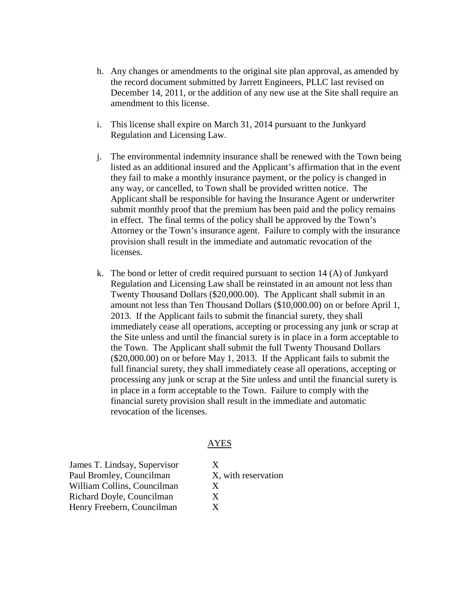- h. Any changes or amendments to the original site plan approval, as amended by the record document submitted by Jarrett Engineers, PLLC last revised on December 14, 2011, or the addition of any new use at the Site shall require an amendment to this license.
- i. This license shall expire on March 31, 2014 pursuant to the Junkyard Regulation and Licensing Law.
- j. The environmental indemnity insurance shall be renewed with the Town being listed as an additional insured and the Applicant's affirmation that in the event they fail to make a monthly insurance payment, or the policy is changed in any way, or cancelled, to Town shall be provided written notice. The Applicant shall be responsible for having the Insurance Agent or underwriter submit monthly proof that the premium has been paid and the policy remains in effect. The final terms of the policy shall be approved by the Town's Attorney or the Town's insurance agent. Failure to comply with the insurance provision shall result in the immediate and automatic revocation of the licenses.
- k. The bond or letter of credit required pursuant to section 14 (A) of Junkyard Regulation and Licensing Law shall be reinstated in an amount not less than Twenty Thousand Dollars (\$20,000.00). The Applicant shall submit in an amount not less than Ten Thousand Dollars (\$10,000.00) on or before April 1, 2013. If the Applicant fails to submit the financial surety, they shall immediately cease all operations, accepting or processing any junk or scrap at the Site unless and until the financial surety is in place in a form acceptable to the Town. The Applicant shall submit the full Twenty Thousand Dollars (\$20,000.00) on or before May 1, 2013. If the Applicant fails to submit the full financial surety, they shall immediately cease all operations, accepting or processing any junk or scrap at the Site unless and until the financial surety is in place in a form acceptable to the Town. Failure to comply with the financial surety provision shall result in the immediate and automatic revocation of the licenses.

## AYES

James T. Lindsay, Supervisor X Paul Bromley, Councilman X, with reservation William Collins, Councilman X Richard Doyle, Councilman X Henry Freebern, Councilman X